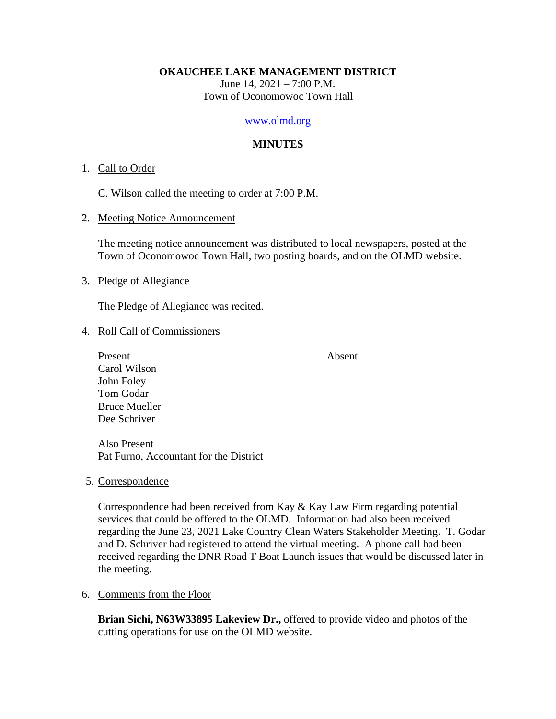### **OKAUCHEE LAKE MANAGEMENT DISTRICT**

June 14,  $2021 - 7:00$  P.M. Town of Oconomowoc Town Hall

#### [www.olmd.org](http://www.olmd.org/)

## **MINUTES**

### 1. Call to Order

C. Wilson called the meeting to order at 7:00 P.M.

### 2. Meeting Notice Announcement

The meeting notice announcement was distributed to local newspapers, posted at the Town of Oconomowoc Town Hall, two posting boards, and on the OLMD website.

## 3. Pledge of Allegiance

The Pledge of Allegiance was recited.

### 4. Roll Call of Commissioners

Present Absent Carol Wilson John Foley Tom Godar Bruce Mueller Dee Schriver

Also Present Pat Furno, Accountant for the District

5. Correspondence

Correspondence had been received from Kay & Kay Law Firm regarding potential services that could be offered to the OLMD. Information had also been received regarding the June 23, 2021 Lake Country Clean Waters Stakeholder Meeting. T. Godar and D. Schriver had registered to attend the virtual meeting. A phone call had been received regarding the DNR Road T Boat Launch issues that would be discussed later in the meeting.

# 6. Comments from the Floor

**Brian Sichi, N63W33895 Lakeview Dr.,** offered to provide video and photos of the cutting operations for use on the OLMD website.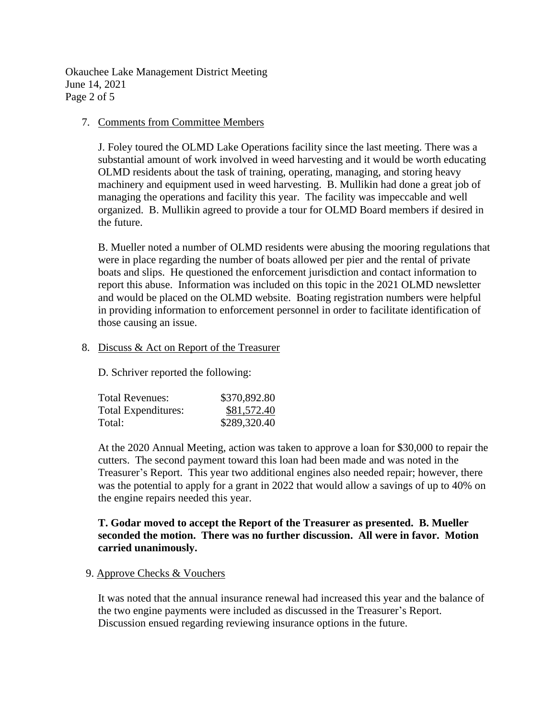Okauchee Lake Management District Meeting June 14, 2021 Page 2 of 5

## 7. Comments from Committee Members

J. Foley toured the OLMD Lake Operations facility since the last meeting. There was a substantial amount of work involved in weed harvesting and it would be worth educating OLMD residents about the task of training, operating, managing, and storing heavy machinery and equipment used in weed harvesting. B. Mullikin had done a great job of managing the operations and facility this year. The facility was impeccable and well organized. B. Mullikin agreed to provide a tour for OLMD Board members if desired in the future.

B. Mueller noted a number of OLMD residents were abusing the mooring regulations that were in place regarding the number of boats allowed per pier and the rental of private boats and slips. He questioned the enforcement jurisdiction and contact information to report this abuse. Information was included on this topic in the 2021 OLMD newsletter and would be placed on the OLMD website. Boating registration numbers were helpful in providing information to enforcement personnel in order to facilitate identification of those causing an issue.

## 8. Discuss & Act on Report of the Treasurer

D. Schriver reported the following:

| Total Revenues:     | \$370,892.80 |
|---------------------|--------------|
| Total Expenditures: | \$81,572.40  |
| Total:              | \$289,320.40 |

At the 2020 Annual Meeting, action was taken to approve a loan for \$30,000 to repair the cutters. The second payment toward this loan had been made and was noted in the Treasurer's Report. This year two additional engines also needed repair; however, there was the potential to apply for a grant in 2022 that would allow a savings of up to 40% on the engine repairs needed this year.

# **T. Godar moved to accept the Report of the Treasurer as presented. B. Mueller seconded the motion. There was no further discussion. All were in favor. Motion carried unanimously.**

### 9. Approve Checks & Vouchers

It was noted that the annual insurance renewal had increased this year and the balance of the two engine payments were included as discussed in the Treasurer's Report. Discussion ensued regarding reviewing insurance options in the future.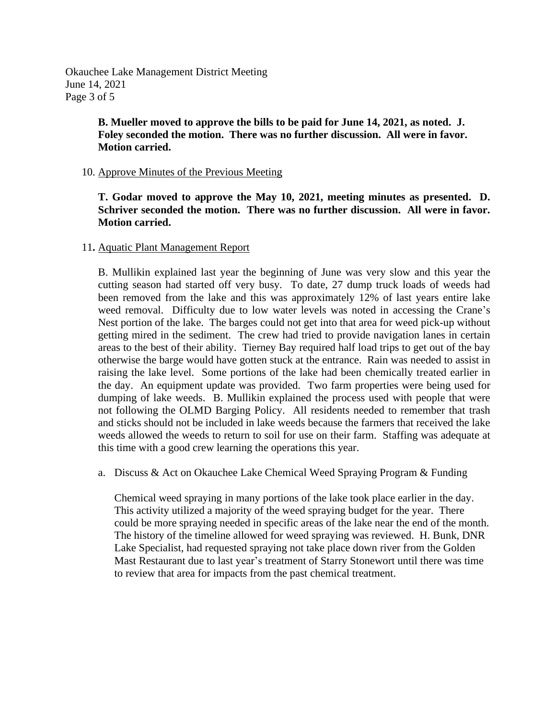Okauchee Lake Management District Meeting June 14, 2021 Page 3 of 5

> **B. Mueller moved to approve the bills to be paid for June 14, 2021, as noted. J. Foley seconded the motion. There was no further discussion. All were in favor. Motion carried.**

## 10. Approve Minutes of the Previous Meeting

**T. Godar moved to approve the May 10, 2021, meeting minutes as presented. D. Schriver seconded the motion. There was no further discussion. All were in favor. Motion carried.**

## 11**.** Aquatic Plant Management Report

B. Mullikin explained last year the beginning of June was very slow and this year the cutting season had started off very busy. To date, 27 dump truck loads of weeds had been removed from the lake and this was approximately 12% of last years entire lake weed removal. Difficulty due to low water levels was noted in accessing the Crane's Nest portion of the lake. The barges could not get into that area for weed pick-up without getting mired in the sediment. The crew had tried to provide navigation lanes in certain areas to the best of their ability. Tierney Bay required half load trips to get out of the bay otherwise the barge would have gotten stuck at the entrance. Rain was needed to assist in raising the lake level. Some portions of the lake had been chemically treated earlier in the day. An equipment update was provided. Two farm properties were being used for dumping of lake weeds. B. Mullikin explained the process used with people that were not following the OLMD Barging Policy. All residents needed to remember that trash and sticks should not be included in lake weeds because the farmers that received the lake weeds allowed the weeds to return to soil for use on their farm. Staffing was adequate at this time with a good crew learning the operations this year.

a. Discuss & Act on Okauchee Lake Chemical Weed Spraying Program & Funding

Chemical weed spraying in many portions of the lake took place earlier in the day. This activity utilized a majority of the weed spraying budget for the year. There could be more spraying needed in specific areas of the lake near the end of the month. The history of the timeline allowed for weed spraying was reviewed. H. Bunk, DNR Lake Specialist, had requested spraying not take place down river from the Golden Mast Restaurant due to last year's treatment of Starry Stonewort until there was time to review that area for impacts from the past chemical treatment.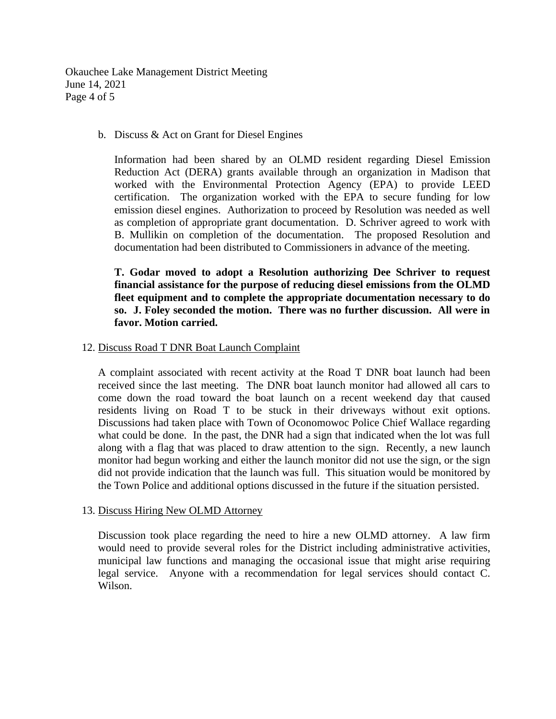Okauchee Lake Management District Meeting June 14, 2021 Page 4 of 5

b. Discuss & Act on Grant for Diesel Engines

Information had been shared by an OLMD resident regarding Diesel Emission Reduction Act (DERA) grants available through an organization in Madison that worked with the Environmental Protection Agency (EPA) to provide LEED certification. The organization worked with the EPA to secure funding for low emission diesel engines. Authorization to proceed by Resolution was needed as well as completion of appropriate grant documentation. D. Schriver agreed to work with B. Mullikin on completion of the documentation. The proposed Resolution and documentation had been distributed to Commissioners in advance of the meeting.

**T. Godar moved to adopt a Resolution authorizing Dee Schriver to request financial assistance for the purpose of reducing diesel emissions from the OLMD fleet equipment and to complete the appropriate documentation necessary to do so. J. Foley seconded the motion. There was no further discussion. All were in favor. Motion carried.**

12. Discuss Road T DNR Boat Launch Complaint

A complaint associated with recent activity at the Road T DNR boat launch had been received since the last meeting. The DNR boat launch monitor had allowed all cars to come down the road toward the boat launch on a recent weekend day that caused residents living on Road T to be stuck in their driveways without exit options. Discussions had taken place with Town of Oconomowoc Police Chief Wallace regarding what could be done. In the past, the DNR had a sign that indicated when the lot was full along with a flag that was placed to draw attention to the sign. Recently, a new launch monitor had begun working and either the launch monitor did not use the sign, or the sign did not provide indication that the launch was full. This situation would be monitored by the Town Police and additional options discussed in the future if the situation persisted.

### 13. Discuss Hiring New OLMD Attorney

Discussion took place regarding the need to hire a new OLMD attorney. A law firm would need to provide several roles for the District including administrative activities, municipal law functions and managing the occasional issue that might arise requiring legal service. Anyone with a recommendation for legal services should contact C. Wilson.